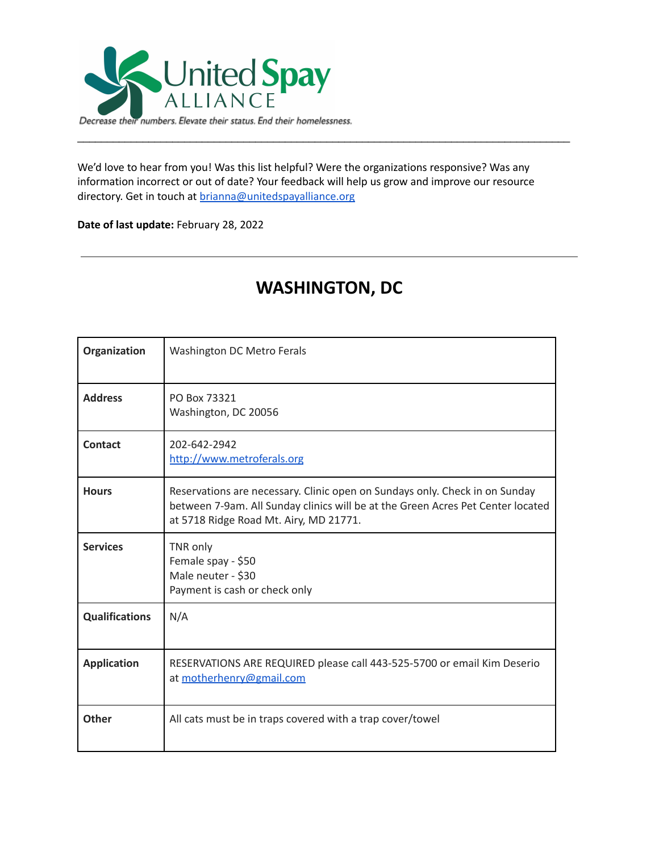

We'd love to hear from you! Was this list helpful? Were the organizations responsive? Was any information incorrect or out of date? Your feedback will help us grow and improve our resource directory. Get in touch at [brianna@unitedspayalliance.org](mailto:brianna@unitedspayalliance.org)

\_\_\_\_\_\_\_\_\_\_\_\_\_\_\_\_\_\_\_\_\_\_\_\_\_\_\_\_\_\_\_\_\_\_\_\_\_\_\_\_\_\_\_\_\_\_\_\_\_\_\_\_\_\_\_\_\_\_\_\_\_\_\_\_\_\_\_\_\_\_\_\_\_\_\_\_\_\_\_\_\_\_\_

**Date of last update:** February 28, 2022

| Organization          | Washington DC Metro Ferals                                                                                                                                                                               |
|-----------------------|----------------------------------------------------------------------------------------------------------------------------------------------------------------------------------------------------------|
| <b>Address</b>        | PO Box 73321<br>Washington, DC 20056                                                                                                                                                                     |
| Contact               | 202-642-2942<br>http://www.metroferals.org                                                                                                                                                               |
| <b>Hours</b>          | Reservations are necessary. Clinic open on Sundays only. Check in on Sunday<br>between 7-9am. All Sunday clinics will be at the Green Acres Pet Center located<br>at 5718 Ridge Road Mt. Airy, MD 21771. |
| <b>Services</b>       | TNR only<br>Female spay - \$50<br>Male neuter - \$30<br>Payment is cash or check only                                                                                                                    |
| <b>Qualifications</b> | N/A                                                                                                                                                                                                      |
| <b>Application</b>    | RESERVATIONS ARE REQUIRED please call 443-525-5700 or email Kim Deserio<br>at motherhenry@gmail.com                                                                                                      |
| <b>Other</b>          | All cats must be in traps covered with a trap cover/towel                                                                                                                                                |

## **WASHINGTON, DC**